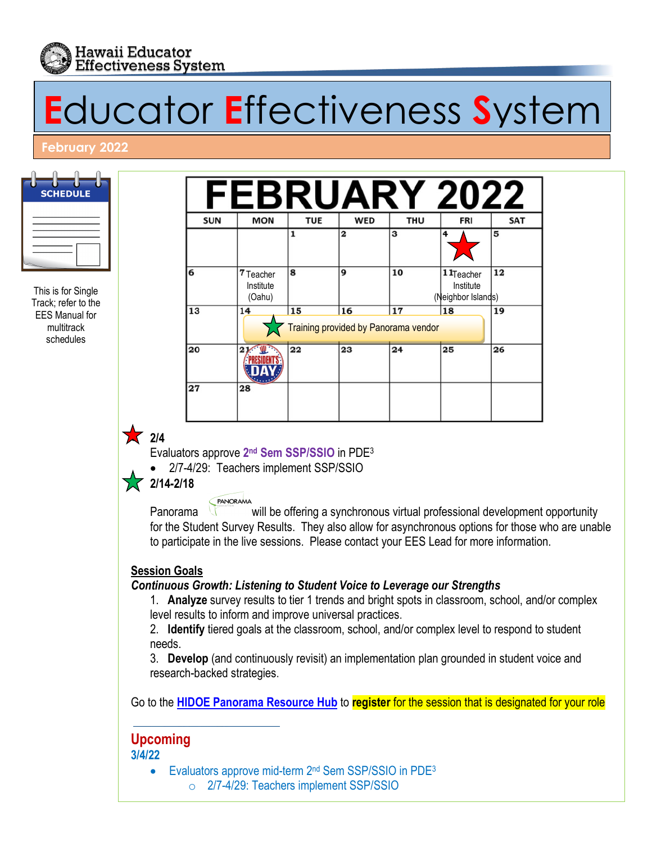

# **E**ducator **E**ffectiveness **S**ystem

#### **February 2022**

| <b>SCHEDULE</b> |
|-----------------|
|                 |
|                 |

This is for Single Track; refer to the EES Manual for multitrack schedules

| <b>SUN</b> | <b>MON</b>                                                         | <b>TUE</b> | <b>WED</b> | THU | <b>FRI</b>                                               | <b>SAT</b> |
|------------|--------------------------------------------------------------------|------------|------------|-----|----------------------------------------------------------|------------|
|            |                                                                    | 1          | 2          | 3   | 4                                                        | 5          |
| 6          | 7 Teacher<br>Institute<br>(Oahu)                                   | 8          | 9          | 10  | 11 <sub>Teacher</sub><br>Institute<br>(Neighbor Islands) | 12         |
| 13         | 15<br>16<br>17<br>18<br>14<br>Training provided by Panorama vendor |            |            |     |                                                          | 19         |
| 20         | 21                                                                 | 22         | 23         | 24  | 25                                                       | 26         |
| 27         | 28                                                                 |            |            |     |                                                          |            |

# **17** 2/4

Evaluators approve **2nd Sem SSP/SSIO** in PDE3

• 2/7-4/29: Teachers implement SSP/SSIO

 $\sqrt{2}$  2/14-2/18

PANORAMA Panorama will be offering a synchronous virtual professional development opportunity for the Student Survey Results. They also allow for asynchronous options for those who are unable to participate in the live sessions. Please contact your EES Lead for more information.

### **Session Goals**

#### *Continuous Growth: Listening to Student Voice to Leverage our Strengths*

1. **Analyze** survey results to tier 1 trends and bright spots in classroom, school, and/or complex level results to inform and improve universal practices.

2. **Identify** tiered goals at the classroom, school, and/or complex level to respond to student needs.

3. **Develop** (and continuously revisit) an implementation plan grounded in student voice and research-backed strategies.

Go to the **HIDOE [Panorama](https://sites.google.com/panoramaed.com/hidoe/resource-hub) Resource Hub** to **register** for the session that is designated for your role

# **Upcoming**

**3/4/22** 

• Evaluators approve mid-term 2<sup>nd</sup> Sem SSP/SSIO in PDE<sup>3</sup> o 2/7-4/29: Teachers implement SSP/SSIO